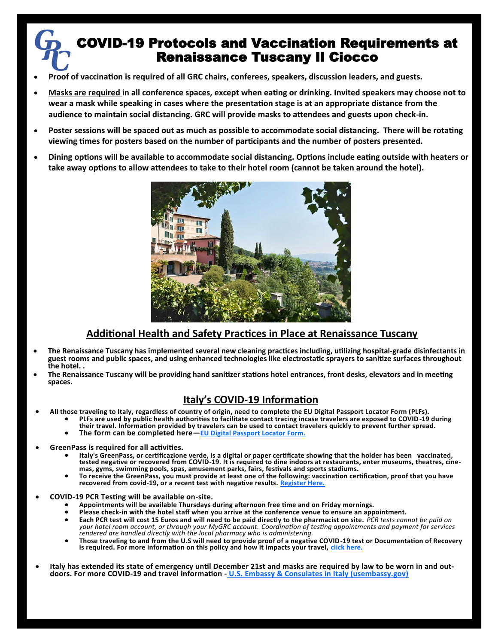# COVID-19 Protocols and Vaccination Requirements at Renaissance Tuscany Il Ciocco

- **Proof of vaccination is required of all GRC chairs, conferees, speakers, discussion leaders, and guests.**
- **Masks are required in all conference spaces, except when eating or drinking. Invited speakers may choose not to wear a mask while speaking in cases where the presentation stage is at an appropriate distance from the audience to maintain social distancing. GRC will provide masks to attendees and guests upon check-in.**
- **Poster sessions will be spaced out as much as possible to accommodate social distancing. There will be rotating viewing times for posters based on the number of participants and the number of posters presented.**
- **Dining options will be available to accommodate social distancing. Options include eating outside with heaters or take away options to allow attendees to take to their hotel room (cannot be taken around the hotel).**



# **Additional Health and Safety Practices in Place at Renaissance Tuscany**

- **The Renaissance Tuscany has implemented several new cleaning practices including, utilizing hospital-grade disinfectants in guest rooms and public spaces, and using enhanced technologies like electrostatic sprayers to sanitize surfaces throughout the hotel. .**
- **The Renaissance Tuscany will be providing hand sanitizer stations hotel entrances, front desks, elevators and in meeting spaces.**

# **Italy's COVID-19 Information**

- **All those traveling to Italy, regardless of country of origin, need to complete the EU Digital Passport Locator Form (PLFs).**
	- **PLFs are used by public health authorities to facilitate contact tracing incase travelers are exposed to COVID-19 during their travel. Information provided by travelers can be used to contact travelers quickly to prevent further spread.** 
		- **The form can be completed here—[EU Digital Passport Locator Form.](https://app.euplf.eu/#/)**
- **Gre[en](https://app.euplf.eu/#/)Pass is required for all activities.**
	- **Italy's GreenPass, or certificazione verde, is a digital or paper certificate showing that the holder has been vaccinated, tested negative or recovered from COVID-19. It is required to dine indoors at restaurants, enter museums, theatres, cinemas, gyms, swimming pools, spas, amusement parks, fairs, festivals and sports stadiums.**
	- **To receive the GreenPass, you must provide at least one of the following: vaccination certification, proof that you have recovered from covid-19, or a recent test with negative results. [Register Here.](https://www.dgc.gov.it/spa/public/home)**
- **COVID-19 PCR Testing will be available on-site.**
	- **Appointments will be available Thursdays during afternoon free time and on Friday mornings.**
	- **Please check-in with the hotel staff when you arrive at the conference venue to ensure an appointment.**
	- **Each PCR test will cost 15 Euros and will need to be paid directly to the pharmacist on site.** *PCR tests cannot be paid on your hotel room account, or through your MyGRC account. Coordination of testing appointments and payment for services rendered are handled directly with the local pharmacy who is administering.*
	- **Those traveling to and from the U.S will need to provide proof of a negative COVID-19 test or Documentation of Recovery is required. For more information on this policy and how it impacts your travel, [click here.](https://www.cdc.gov/coronavirus/2019-ncov/travelers/testing-international-air-travelers.html#general)**
- **Italy has extended its state of emergency until December 21st and masks are required by law to be worn in and outdoors. For more COVID-19 and travel information - [U.S. Embassy & Consulates in Italy \(usembassy.gov\)](https://it.usembassy.gov/covid-19-information/)**